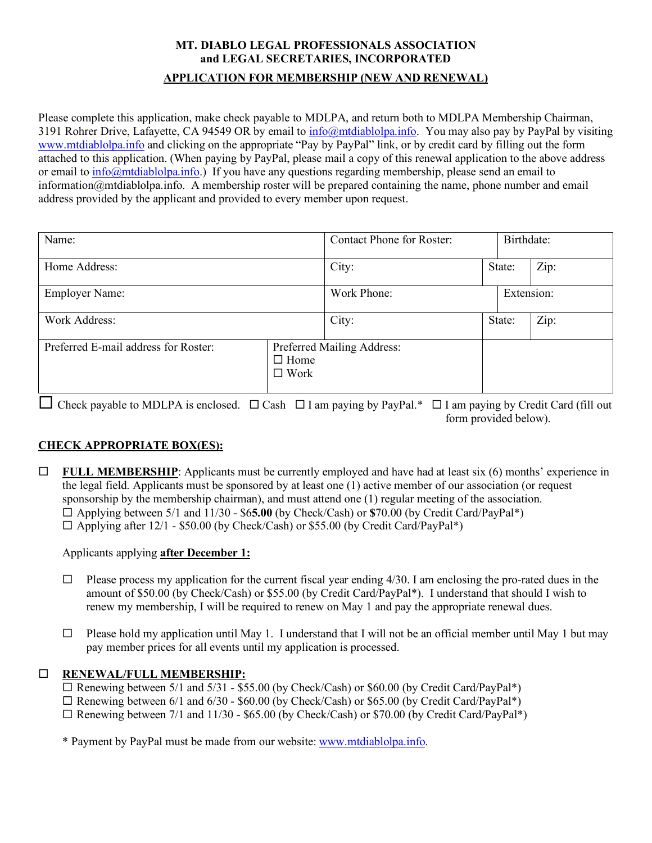# **MT. DIABLO LEGAL PROFESSIONALS ASSOCIATION and LEGAL SECRETARIES, INCORPORATED APPLICATION FOR MEMBERSHIP (NEW AND RENEWAL)**

Please complete this application, make check payable to MDLPA, and return both to MDLPA Membership Chairman, 3191 Rohrer Drive, Lafayette, CA 94549 OR by email to [info@mtdiablolpa.info.](mailto:info@mtdiablolpa.info) You may also pay by PayPal by visiting [www.mtdiablolpa.info](http://www.mtdiablolpa.info/) and clicking on the appropriate "Pay by PayPal" link, or by credit card by filling out the form attached to this application. (When paying by PayPal, please mail a copy of this renewal application to the above address or email t[o info@mtdiablolpa.info.](mailto:information@mtdiablolpa.info)) If you have any questions regarding membership, please send an email to information@mtdiablolpa.info. A membership roster will be prepared containing the name, phone number and email address provided by the applicant and provided to every member upon request.

| Name:                                |                                                          | <b>Contact Phone for Roster:</b> |            | Birthdate: |      |
|--------------------------------------|----------------------------------------------------------|----------------------------------|------------|------------|------|
| Home Address:                        |                                                          | City:                            |            | State:     | Zip: |
| <b>Employer Name:</b>                |                                                          | Work Phone:                      | Extension: |            |      |
| Work Address:                        |                                                          | City:                            |            | State:     | Zip: |
| Preferred E-mail address for Roster: | Preferred Mailing Address:<br>$\Box$ Home<br>$\Box$ Work |                                  |            |            |      |

 $\Box$  Check payable to MDLPA is enclosed.  $\Box$  Cash  $\Box$  I am paying by PayPal.\*  $\Box$  I am paying by Credit Card (fill out form provided below).

## **CHECK APPROPRIATE BOX(ES):**

**FULL MEMBERSHIP:** Applicants must be currently employed and have had at least six  $(6)$  months' experience in the legal field. Applicants must be sponsored by at least one (1) active member of our association (or request sponsorship by the membership chairman), and must attend one (1) regular meeting of the association. Applying between 5/1 and 11/30 - \$6**5.00** (by Check/Cash) or **\$**70.00 (by Credit Card/PayPal\*)  $\Box$  Applying after 12/1 - \$50.00 (by Check/Cash) or \$55.00 (by Credit Card/PayPal\*)

## Applicants applying **after December 1:**

- $\Box$  Please process my application for the current fiscal year ending 4/30. I am enclosing the pro-rated dues in the amount of \$50.00 (by Check/Cash) or \$55.00 (by Credit Card/PayPal\*). I understand that should I wish to renew my membership, I will be required to renew on May 1 and pay the appropriate renewal dues.
- $\Box$  Please hold my application until May 1. I understand that I will not be an official member until May 1 but may pay member prices for all events until my application is processed.

# **RENEWAL/FULL MEMBERSHIP:**

 $\overline{\Box}$  Renewing between 5/1 and 5/31 - \$55.00 (by Check/Cash) or \$60.00 (by Credit Card/PayPal\*)

 $\Box$  Renewing between 6/1 and 6/30 - \$60.00 (by Check/Cash) or \$65.00 (by Credit Card/PayPal\*)

 $\Box$  Renewing between 7/1 and 11/30 - \$65.00 (by Check/Cash) or \$70.00 (by Credit Card/PayPal\*)

\* Payment by PayPal must be made from our website: [www.mtdiablolpa.info.](http://www.mtdiablolpa.info/)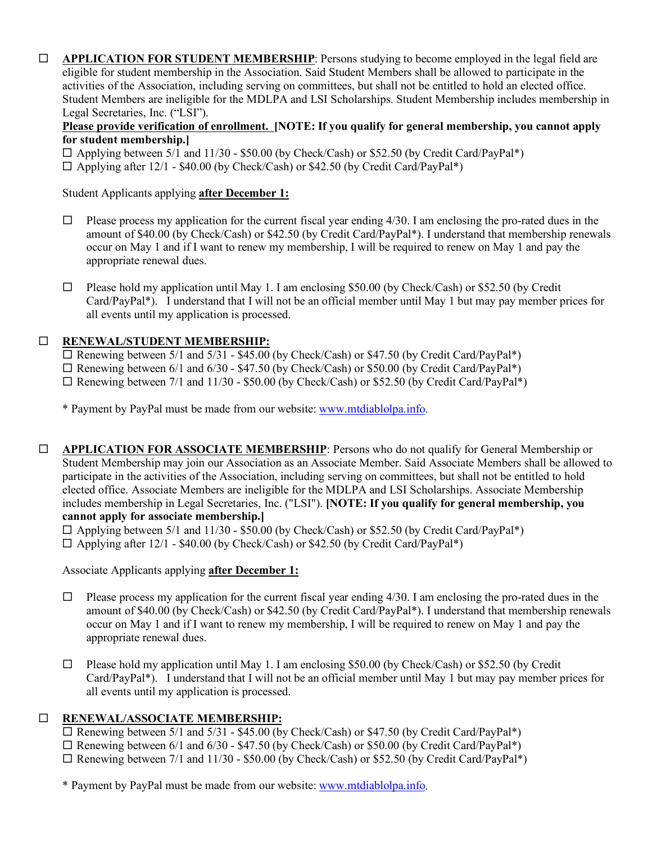**APPLICATION FOR STUDENT MEMBERSHIP**: Persons studying to become employed in the legal field are eligible for student membership in the Association. Said Student Members shall be allowed to participate in the activities of the Association, including serving on committees, but shall not be entitled to hold an elected office. Student Members are ineligible for the MDLPA and LSI Scholarships. Student Membership includes membership in Legal Secretaries, Inc. ("LSI").

#### **Please provide verification of enrollment. [NOTE: If you qualify for general membership, you cannot apply for student membership.]**

 $\Box$  Applying between 5/1 and 11/30 - \$50.00 (by Check/Cash) or \$52.50 (by Credit Card/PayPal\*)

 $\Box$  Applying after 12/1 - \$40.00 (by Check/Cash) or \$42.50 (by Credit Card/PayPal\*)

Student Applicants applying **after December 1:** 

- $\Box$  Please process my application for the current fiscal year ending 4/30. I am enclosing the pro-rated dues in the amount of \$40.00 (by Check/Cash) or \$42.50 (by Credit Card/PayPal\*). I understand that membership renewals occur on May 1 and if I want to renew my membership, I will be required to renew on May 1 and pay the appropriate renewal dues.
- $\Box$  Please hold my application until May 1. I am enclosing \$50.00 (by Check/Cash) or \$52.50 (by Credit Card/PayPal\*). I understand that I will not be an official member until May 1 but may pay member prices for all events until my application is processed.

## **RENEWAL/STUDENT MEMBERSHIP:**

 $\Box$  Renewing between 5/1 and 5/31 - \$45.00 (by Check/Cash) or \$47.50 (by Credit Card/PayPal\*)

Renewing between 6/1 and 6/30 - \$47.50 (by Check/Cash) or \$50.00 (by Credit Card/PayPal\*)

 $\Box$  Renewing between 7/1 and 11/30 - \$50.00 (by Check/Cash) or \$52.50 (by Credit Card/PayPal\*)

\* Payment by PayPal must be made from our website: [www.mtdiablolpa.info.](http://www.mtdiablolpa.info/)

 **APPLICATION FOR ASSOCIATE MEMBERSHIP**: Persons who do not qualify for General Membership or Student Membership may join our Association as an Associate Member. Said Associate Members shall be allowed to participate in the activities of the Association, including serving on committees, but shall not be entitled to hold elected office. Associate Members are ineligible for the MDLPA and LSI Scholarships. Associate Membership includes membership in Legal Secretaries, Inc. ("LSI"). **[NOTE: If you qualify for general membership, you cannot apply for associate membership.]**

 $\Box$  Applying between 5/1 and 11/30 - \$50.00 (by Check/Cash) or \$52.50 (by Credit Card/PayPal\*)

 $\Box$  Applying after 12/1 - \$40.00 (by Check/Cash) or \$42.50 (by Credit Card/PayPal\*)

Associate Applicants applying **after December 1:** 

- $\Box$  Please process my application for the current fiscal year ending 4/30. I am enclosing the pro-rated dues in the amount of \$40.00 (by Check/Cash) or \$42.50 (by Credit Card/PayPal\*). I understand that membership renewals occur on May 1 and if I want to renew my membership, I will be required to renew on May 1 and pay the appropriate renewal dues.
- $\Box$  Please hold my application until May 1. I am enclosing \$50.00 (by Check/Cash) or \$52.50 (by Credit Card/PayPal\*). I understand that I will not be an official member until May 1 but may pay member prices for all events until my application is processed.

## **RENEWAL/ASSOCIATE MEMBERSHIP:**

 $\square$  Renewing between 5/1 and 5/31 - \$45.00 (by Check/Cash) or \$47.50 (by Credit Card/PayPal\*)

 $\Box$  Renewing between 6/1 and 6/30 - \$47.50 (by Check/Cash) or \$50.00 (by Credit Card/PayPal\*)

 $\Box$  Renewing between 7/1 and 11/30 - \$50.00 (by Check/Cash) or \$52.50 (by Credit Card/PayPal\*)

\* Payment by PayPal must be made from our website: [www.mtdiablolpa.info.](http://www.mtdiablolpa.info/)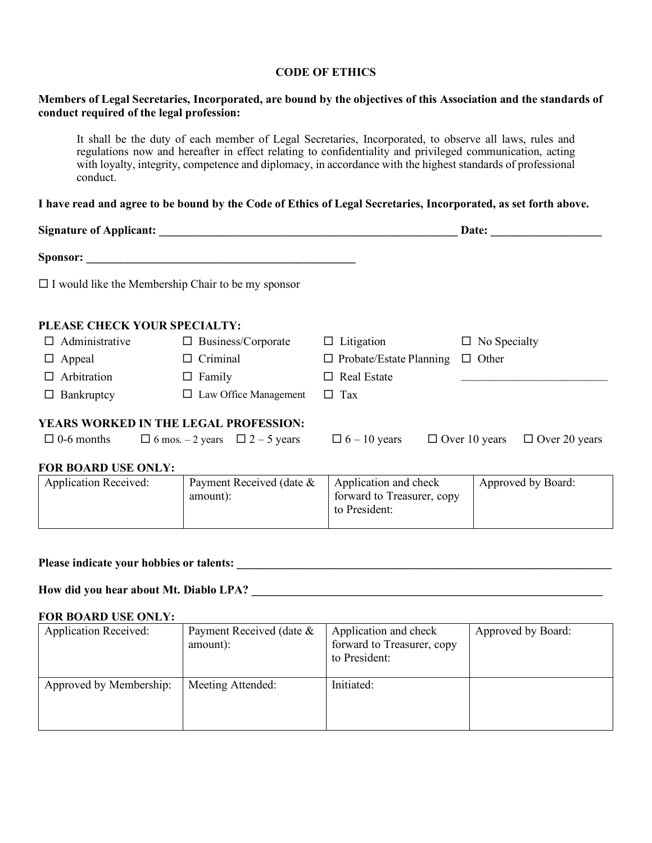#### **CODE OF ETHICS**

#### **Members of Legal Secretaries, Incorporated, are bound by the objectives of this Association and the standards of conduct required of the legal profession:**

It shall be the duty of each member of Legal Secretaries, Incorporated, to observe all laws, rules and regulations now and hereafter in effect relating to confidentiality and privileged communication, acting with loyalty, integrity, competence and diplomacy, in accordance with the highest standards of professional conduct.

#### **I have read and agree to be bound by the Code of Ethics of Legal Secretaries, Incorporated, as set forth above.**

| <b>Signature of Applicant:</b> |                                                           |                                | Date:                                        |
|--------------------------------|-----------------------------------------------------------|--------------------------------|----------------------------------------------|
| <b>Sponsor:</b>                |                                                           |                                |                                              |
|                                | $\Box$ I would like the Membership Chair to be my sponsor |                                |                                              |
| PLEASE CHECK YOUR SPECIALTY:   |                                                           |                                |                                              |
| $\Box$ Administrative          | $\Box$ Business/Corporate                                 | Litigation<br>⊔                | $\Box$ No Specialty                          |
| $\Box$ Appeal                  | Criminal<br>$\Box$                                        | $\Box$ Probate/Estate Planning | $\Box$ Other                                 |
| $\Box$ Arbitration             | $\Box$ Family                                             | <b>Real Estate</b><br>$\Box$   |                                              |
| $\Box$ Bankruptcy              | $\Box$ Law Office Management                              | Tax<br>$\Box$                  |                                              |
|                                | YEARS WORKED IN THE LEGAL PROFESSION:                     |                                |                                              |
| $\Box$ 0-6 months              | $\Box$ 6 mos. - 2 years $\Box$ 2 - 5 years                | $\Box$ 6 – 10 years            | $\Box$ Over 10 years<br>$\Box$ Over 20 years |
| <b>FOR BOARD USE ONLY:</b>     |                                                           |                                |                                              |
| <b>Application Received:</b>   | Payment Received (date &                                  | Application and check          | Approved by Board:                           |

| Application Received: | Payment Received (date & | Application and check      | Approved by Board: |
|-----------------------|--------------------------|----------------------------|--------------------|
|                       | amount):                 | forward to Treasurer, copy |                    |
|                       |                          | to President:              |                    |
|                       |                          |                            |                    |

# **Please indicate your hobbies or talents: \_\_\_\_\_\_\_\_\_\_\_\_\_\_\_\_\_\_\_\_\_\_\_\_\_\_\_\_\_\_\_\_\_\_\_\_\_\_\_\_\_\_\_\_\_\_\_\_\_\_\_\_\_\_\_\_\_\_\_\_\_\_\_\_**

#### **How did you hear about Mt. Diablo LPA? \_\_\_\_\_\_\_\_\_\_\_\_\_\_\_\_\_\_\_\_\_\_\_\_\_\_\_\_\_\_\_\_\_\_\_\_\_\_\_\_\_\_\_\_\_\_\_\_\_\_\_\_\_\_\_\_\_\_\_\_**

#### **FOR BOARD USE ONLY:**

| <b>Application Received:</b> | Payment Received (date & | Application and check      | Approved by Board: |
|------------------------------|--------------------------|----------------------------|--------------------|
|                              | amount):                 | forward to Treasurer, copy |                    |
|                              |                          | to President:              |                    |
|                              |                          |                            |                    |
| Approved by Membership:      | Meeting Attended:        | Initiated:                 |                    |
|                              |                          |                            |                    |
|                              |                          |                            |                    |
|                              |                          |                            |                    |